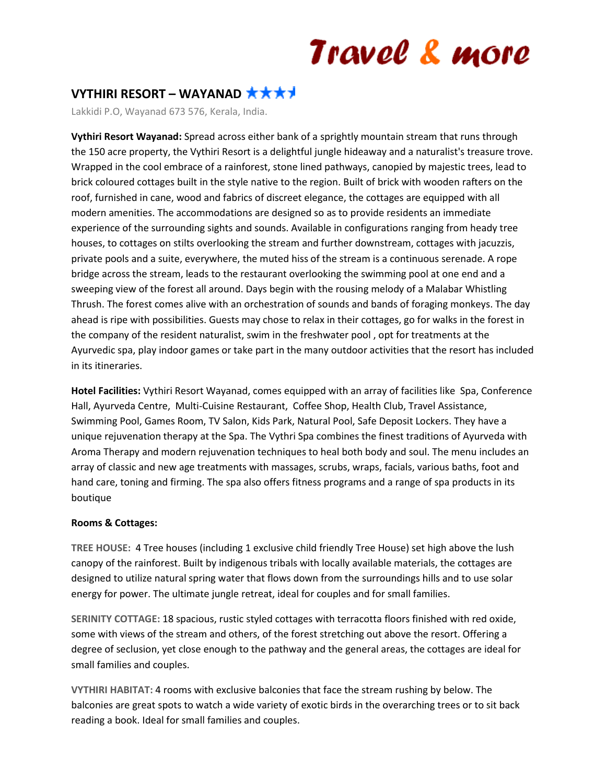## Travel & more

### **VYTHIRI RESORT – WAYANAD**

Lakkidi P.O, Wayanad 673 576, Kerala, India.

**Vythiri Resort Wayanad:** Spread across either bank of a sprightly mountain stream that runs through the 150 acre property, the Vythiri Resort is a delightful jungle hideaway and a naturalist's treasure trove. Wrapped in the cool embrace of a rainforest, stone lined pathways, canopied by majestic trees, lead to brick coloured cottages built in the style native to the region. Built of brick with wooden rafters on the roof, furnished in cane, wood and fabrics of discreet elegance, the cottages are equipped with all modern amenities. The accommodations are designed so as to provide residents an immediate experience of the surrounding sights and sounds. Available in configurations ranging from heady tree houses, to cottages on stilts overlooking the stream and further downstream, cottages with jacuzzis, private pools and a suite, everywhere, the muted hiss of the stream is a continuous serenade. A rope bridge across the stream, leads to the restaurant overlooking the swimming pool at one end and a sweeping view of the forest all around. Days begin with the rousing melody of a Malabar Whistling Thrush. The forest comes alive with an orchestration of sounds and bands of foraging monkeys. The day ahead is ripe with possibilities. Guests may chose to relax in their cottages, go for walks in the forest in the company of the resident naturalist, swim in the freshwater pool , opt for treatments at the Ayurvedic spa, play indoor games or take part in the many outdoor activities that the resort has included in its itineraries.

**Hotel Facilities:** Vythiri Resort Wayanad, comes equipped with an array of facilities like Spa, Conference Hall, Ayurveda Centre, Multi-Cuisine Restaurant, Coffee Shop, Health Club, Travel Assistance, Swimming Pool, Games Room, TV Salon, Kids Park, Natural Pool, Safe Deposit Lockers. They have a unique rejuvenation therapy at the Spa. The Vythri Spa combines the finest traditions of Ayurveda with Aroma Therapy and modern rejuvenation techniques to heal both body and soul. The menu includes an array of classic and new age treatments with massages, scrubs, wraps, facials, various baths, foot and hand care, toning and firming. The spa also offers fitness programs and a range of spa products in its boutique

#### **Rooms & Cottages:**

**TREE HOUSE:** 4 Tree houses (including 1 exclusive child friendly Tree House) set high above the lush canopy of the rainforest. Built by indigenous tribals with locally available materials, the cottages are designed to utilize natural spring water that flows down from the surroundings hills and to use solar energy for power. The ultimate jungle retreat, ideal for couples and for small families.

**SERINITY COTTAGE:** 18 spacious, rustic styled cottages with terracotta floors finished with red oxide, some with views of the stream and others, of the forest stretching out above the resort. Offering a degree of seclusion, yet close enough to the pathway and the general areas, the cottages are ideal for small families and couples.

**VYTHIRI HABITAT:** 4 rooms with exclusive balconies that face the stream rushing by below. The balconies are great spots to watch a wide variety of exotic birds in the overarching trees or to sit back reading a book. Ideal for small families and couples.